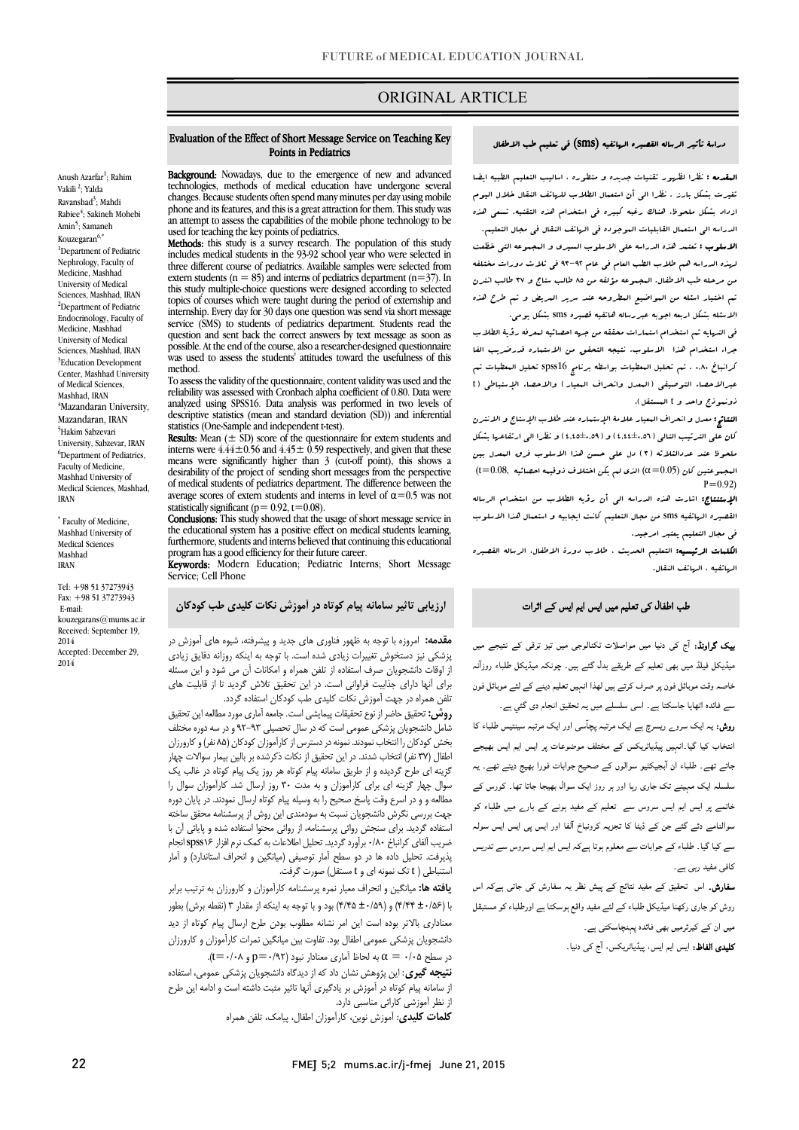# ORIGINAL ARTICLE

#### Evaluation of the Effect of Short Message Service on Teaching Key Points in Pediatrics

Ī

Anush Azarfar<sup>1</sup>; Rahim Vakili<sup>2</sup>; Yalda Ravanshad<sup>3</sup>; Mahdi Rabiee<sup>4</sup>; Sakineh Mohebi Amin<sup>5</sup>; Samaneh Kouzegaran $6,^*$ <sup>1</sup>Department of Pediatric Nephrology, Faculty of Medicine, Mashhad University of Medical Sciences, Mashhad, IRAN <sup>2</sup>Department of Pediatric Endocrinology, Faculty of Medicine, Mashhad University of Medical Sciences, Mashhad, IRAN <sup>3</sup>Education Development Center, Mashhad University of Medical Sciences, Mashhad, IRAN 4 Mazandaran University, Mazandaran, IRAN 5 Hakim Sabzevari University, Sabzevar, IRAN <sup>6</sup>Department of Pediatrics, Faculty of Medicine, Mashhad University of Medical Sciences, Mashhad, IRAN

\* Faculty of Medicine, Mashhad University of Medical Sciences Mashhad IRAN

Tel: +98 51 37273943 Fax: +98 51 37273943 E-mail: kouzegarans@mums.ac.ir Received: September 19, 2014 Accepted: December 29, 2014

**Background:** Nowadays, due to the emergence of new and advanced<br>technologies, methods of medical education have undergone several changes. Because students often spend many minutes per day using mobile an attempt to assess the capabilities of the mobile phone technology to be technologies, methods of medical education have undergone several phone and its features, and this is a great attraction for them. This study was used for teaching the key points of pediatrics.

Methods: this study is a survey research. The population of this study includes medical students in the 93-92 school year who were selected in extern students ( $n = 85$ ) and interns of pediatrics department ( $n = 37$ ). In topics of courses which were taught during the period of externship and internship. Every day for 30 days one question was send via short message question and sent back the correct answers by text message as soon as was used to assess the students' attitudes toward the usefulness of this three different course of pediatrics. Available samples were selected from this study multiple-choice questions were designed according to selected service (SMS) to students of pediatrics department. Students read the possible. At the end of the course, also a researcher-designed questionnaire method.

 To assess the validity of the questionnaire, content validity was used and the reliability was assessed with Cronbach alpha coefficient of 0.80. Data were descriptive statistics (mean and standard deviation (SD)) and inferential analyzed using SPSS16. Data analysis was performed in two levels of statistics (One-Sample and independent t-test).

 $\textbf{Results:}$  Mean  $(\pm \text{ SD})$  score of the questionnaire for extern students and interns were  $4.44 \pm 0.56$  and  $4.45 \pm 0.59$  respectively, and given that these means were significantly higher than 3 (cut-off point), this shows a desirability of the project of sending short messages from the perspective average scores of extern students and interns in level of  $\alpha$ =0.5 was not of medical students of pediatrics department. The difference between the statistically significant ( $p= 0.92$ ,  $t=0.08$ ).

statistically significant (p= 0.92, t=0.08).<br>**Conclusions:** This study showed that the usage of short message service in the educational system has a positive effect on medical students learning, program has a good efficiency for their future career. furthermore, students and interns believed that continuing this educational

**Keywords:** Modern Education; Pediatric Interns; Short Message Service; Cell Phone

# ارزیابی تاثیر سامانه پیام کوتاه در آموزش نکات کلیدي طب کودکان

م**قدمه:** امروزه با توجه به ظهور فناوری های جدید و پیشرفته، شیوه های آموزش در<br>م .<br>ز اوقات دانشجویان صرف استفاده از تلفن همراه و امکانات آن می شود و این مسئله براي آنها داراي جذابیت فراوانی است. در این تحقیق تلاش گردید تا از قابلیت هاي پزشکی نیز دستخوش تغییرات زیادي شده است. با توجه به اینکه روزانه دقایق زیادي تلفن همراه در جهت آموزش نکات کلیدي طب کودکان استفاده گردد.

نس همراه در جهت امورس نحات نتیدی صب نود تان استفاده بردد.<br>**روش:** تحقیق حاضر از نوع تحقیقات پیمایشی است. جامعه آماری مورد مطالعه این تحقیق شامل دانشجویان پزشکی عمومی است که در سال تحصیلی 92-93 و در سه دوره مختلف بخش کودکان را انتخاب نمودند. نمونه در دسترس از کارآموزان کودکان (85 نفر) و کارورزان اطفال (37 نفر) انتخاب شدند. در این تحقیق از نکات ذکرشده بر بالین بیمار سوالات چهار سوال چهار گزینه اي براي کارآموزان و به مدت 30 روز ارسال شد. کارآموزان سوال را مطالعه و و در اسرع وقت پاسخ صحیح را به وسیله پیام کوتاه ارسال نمودند. در پایان دوره بچهت بررسی تحرس دانستجویان تسبت به سودهندی این روس از پرسستامه محتوی سخته<br>استفاده گردید. برای سنجش روائی پرسشنامه، از روائی محتوا استفاده شده و پایائی آن با ضریب آلفاي کرانباخ 0/80 برآورد گردید. تحلیل اطلاعات بهکمک نرم افزار 16spss انجام پذیرفت. تحلیل داده ها در دو سطح آمار توصیفی (میانگین و انحراف استاندارد) و آمار استنباطی ( t تک نمونه اي و t مستقل) صورت گرفت. گزینه اي طرح گردیده و از طریق سامانه پیام کوتاه هر روز یک پیام کوتاه در غالب یک جهت بررسی نگرش دانشجویان نسبت به سودمندي این روش از پرسشنامه محقق ساخته

 با (±0/56 4/44) و (±0/59 4/45) بود و با توجه به اینکه از مقدار 3 (نقطه برش) بطور معناداري بالاتر بوده است این امر نشانه مطلوب بودن طرح ارسال پیام کوتاه از دید دانشجویان پزشکی عمومی اطفال بود. تفاوت بین میانگین نمرات کارآموزان و کارورزان در سطح ۰/۰۵ =  $\alpha = \alpha = \alpha$  به لحاظ آماری معنادار نبود (۹۲/۰۲=p). یافته ها: میانگین و انحراف معیار نمره پرسشنامه کارآموزان و کارورزان به ترتیب برابر

ن**تیجه گیری**: این پژوهش نشان داد که از دیدگاه دانشجویان پزشکی عمومی، استفاده از سامانه پیام کوتاه در آموزش بر یادگیري آنها تاثیر مثبت داشته است و ادامه این طرح از نظر آموزشی کارائی مناسبی دارد.

کلمات کلیدي: آموزش نوین، کارآموزان اطفال، پیامک، تلفن همراه

# FMEJ 5;2 mums.ac.ir/j-fmej June 21, 2015

### دراسۀ تأثیر الرساله القصیره الهاتفیه (sms (فی تعلیم طب الاطفال

Ī

 المقدمه : نظرا لظهور تقنیات جدیده و متطوره ، اسالیب التعلیم الطبیه ایضا تغیرت بشکل بارز . نظرا الی أن استعمال الطلاب للهاتف النقال خلال الیوم الدراسه الی استعمال القابلیات الموجوده فی الهاتف النقال فی مجال التعلیم. الاسلوب : تعتمد هذه الدراسه علی الاسلوب السیري و المجموعه التی خظعت لهذه الدراسه هم طلاب الطب العام فی عام 93-92 فی ثلاث دورات مختلفه من مرحله طب الاطفال. المجموعه مؤلفه من 85 طالب ستاج و 37 طالب انترن ازداد بشکل ملحوظ، هناك رغبه کبیره فی استخدام هذه التقنیه. تسعی هذه

 تم اختیار اسئله من المواضیع المطروحه عند سریر المریض و تم طرح هذه الاسئله بشکل اربعه اجوبه عبررساله هاتفیه قصیره sms بشکل یومی.

 فی النهایه تم استخدام استمارات محققه من جهه احصائیه لمعرفه رؤیۀ الطلاب جراء استخدام هذا الاسلوب. نتیجه التحقق من الاستماره قدرضریب الفا عبر عبرالاحصاء التوسط والاحقان المعدل والاحقان المعیار المعدل والاحصاء التوصیفی (t<br>عبرالاحصاء التوصیفی (البعدل وانحراف البعیار ) والاحصاء الإستباطی (t .<br>ذونهوذج واحد و t البستقل). کرانباخ 0,80 . تم تحلیل المعطیات بواسطه برنامج 16spss تحلیل المعطیات تم

 النتائج: معدل و انحراف المعیار علامۀ الإستماره عند طلاب الإستاج و الانترن کان علی الترتیب التالی (4,44±0,56) و (4,45±0,59) و نظرا الی ارتفاعها بشکل ملحوظ عند عددالثلاثه (3) دل علی حسن هذا الاسلوب فرق المعدل بین  $($ t $=$   $0.08,~$  الذي لم یکن اختلاف ذوقیمه احصائیه  $\alpha$   $\alpha$  ) الذي لم یکن  $P=0.92$ 

<sub>(</sub>رود)<br>**الإستنتاج:** اشارت هذه الدراسه ال<sub>ی</sub> أن رؤیه الطلاب من استخدام الرساله القصیره الهاتفیه sms من مجال التعلیم کانت ایجابیه و استعمال هذا الاسلوب فی مجال التعلیم یعتبر امرجید.

 الکلمات الرئیسیه: التعلیم الحدیث ، طلاب دورة الاطفال، الرساله القصیره الهاتفیه ، الهاتف النقال.

# طب اطفال کی تعلیم میں ایس ایم ایس کے اثرات

**یپک گراونڈ:** آج کی دنیا میں مواصلات ٹکنالوجی میں تیز ترقی کے نتیجے میں میڈیکل فیلڈ میں بھی تعلیم کے طریقے بدل گئے ہیں۔ چونکہ میڈیکل طلباء روزآنہ خاصہ وقت موبائل فون پر صرف کرتے ہیں لھذا انہیں تعلیم دینے کے لئے موبائل فون سے فائدہ اٹھایا جاسکتا ہے۔ اسی سلسلے میں یہ تحقیق انجام دی گئي ہے۔

**روش:** یہ ایک سرو<sub>ے</sub> ریسرچ ہے ایک مرتبہ پچآسی اور ایک مرتبہ سینتیس طلباء کا .<br>نتخاب کیا گیا۔انہیں پیڈیاٹریکس کے مختلف موضوعات پر ایس ایم ایس بھیجے ۔<br>جاتے تھے۔ طلباء ان آبجیکٹیو سوالوں کے صحیح جوابات فورا بھیج دیتے تھے۔ یہ ۔<br>سلسلہ ایک مہینے تک جاری رہا اور ہر روز ایک سوال بھیجا جاتا تھا۔ کورس کے ۔<br>خاتمے پر ایس ایم ایس سروس سے تعلیم کے مفید ہونے کے بار<sub>ے</sub> میں طلباء کو ۔<br>سوالنامے دئے گئے جن کے ڈیٹا کا تجزیہ کرونباخ آلفا اور ایس پی ایس ایس سولہ ۔<br>سے کیا گیا۔ طلباء کے جوابات سے معلوم ہوتا ہےکہ ایس ایم ایس سروس سے تدریس کافی مفید رہی ہے۔

**سفارش۔** اس تحقیق کے مفید نتائج کے پیش نظر یہ سفارش کی جاتی ہےکہ اس ۔<br>روش کو جاری رکھنا میڈیکل طلباء کے لئے مفید واقع ہوسکتا ہے اورطلباء کو مستبقل ۔<br>میں ان کے کیرئرمیں بھی فائدہ پہنچاسکتی ہے۔

**کلیدی الفاظ:** ایس ایم ایس، پیڈیاٹریکس، آج کی دنیا۔<br>۔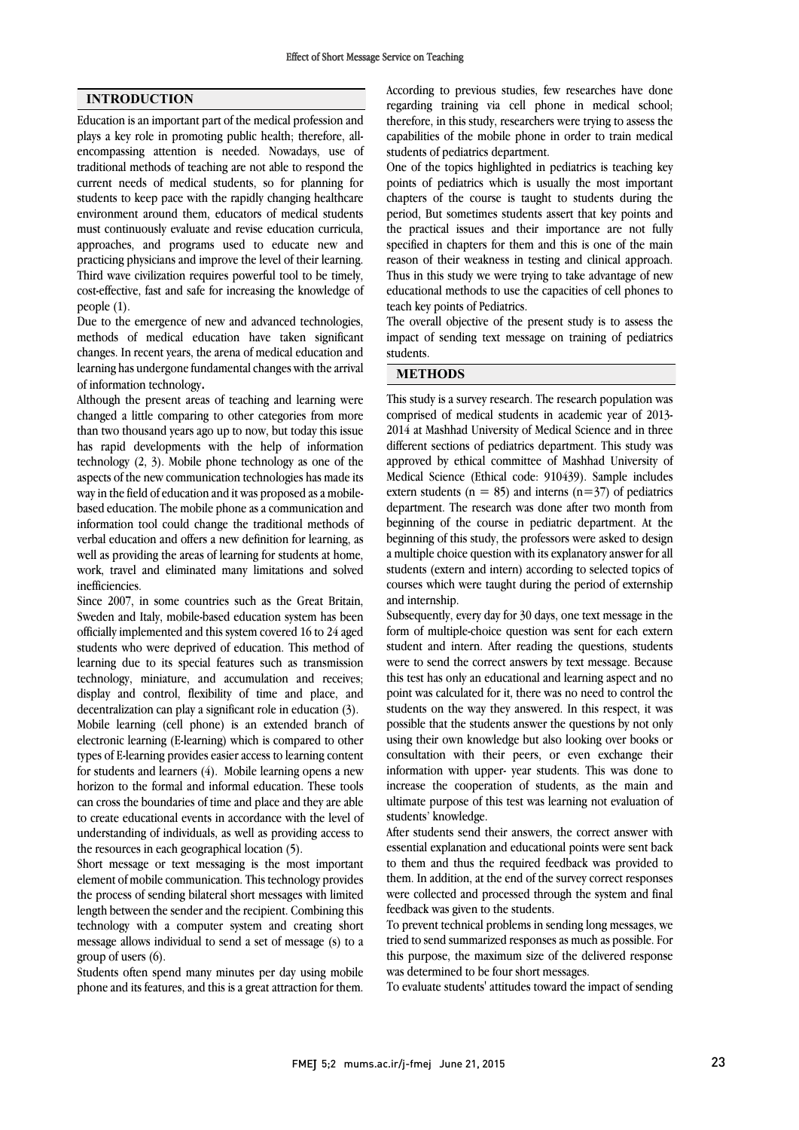### INTRODUCTION

Education is an important part of the medical profession and plays a key role in promoting public health; therefore, allencompassing attention is needed. Nowadays, use of traditional methods of teaching are not able to respond the current needs of medical students, so for planning for students to keep pace with the rapidly changing healthcare environment around them, educators of medical students must continuously evaluate and revise education curricula, approaches, and programs used to educate new and practicing physicians and improve the level of their learning. Third wave civilization requires powerful tool to be timely, cost-effective, fast and safe for increasing the knowledge of people (1).

Due to the emergence of new and advanced technologies, methods of medical education have taken significant changes. In recent years, the arena of medical education and learning has undergone fundamental changes with the arrival of information technology.

Although the present areas of teaching and learning were changed a little comparing to other categories from more than two thousand years ago up to now, but today this issue has rapid developments with the help of information technology (2, 3). Mobile phone technology as one of the aspects of the new communication technologies has made its way in the field of education and it was proposed as a mobilebased education. The mobile phone as a communication and information tool could change the traditional methods of verbal education and offers a new definition for learning, as well as providing the areas of learning for students at home, work, travel and eliminated many limitations and solved inefficiencies.

Since 2007, in some countries such as the Great Britain, Sweden and Italy, mobile-based education system has been officially implemented and this system covered 16 to 24 aged students who were deprived of education. This method of learning due to its special features such as transmission technology, miniature, and accumulation and receives; display and control, flexibility of time and place, and decentralization can play a significant role in education (3). Mobile learning (cell phone) is an extended branch of electronic learning (E-learning) which is compared to other types of E-learning provides easier access to learning content for students and learners (4). Mobile learning opens a new horizon to the formal and informal education. These tools can cross the boundaries of time and place and they are able to create educational events in accordance with the level of understanding of individuals, as well as providing access to the resources in each geographical location (5).

Short message or text messaging is the most important element of mobile communication. This technology provides the process of sending bilateral short messages with limited length between the sender and the recipient. Combining this technology with a computer system and creating short message allows individual to send a set of message (s) to a group of users (6).

Students often spend many minutes per day using mobile phone and its features, and this is a great attraction for them.

 According to previous studies, few researches have done regarding training via cell phone in medical school; therefore, in this study, researchers were trying to assess the students of pediatrics department. capabilities of the mobile phone in order to train medical

 One of the topics highlighted in pediatrics is teaching key points of pediatrics which is usually the most important chapters of the course is taught to students during the the practical issues and their importance are not fully specified in chapters for them and this is one of the main reason of their weakness in testing and clinical approach. Thus in this study we were trying to take advantage of new teach key points of Pediatrics. period, But sometimes students assert that key points and educational methods to use the capacities of cell phones to

 The overall objective of the present study is to assess the impact of sending text message on training of pediatrics students.

#### METHODS

 This study is a survey research. The research population was comprised of medical students in academic year of 2013- 2014 at Mashhad University of Medical Science and in three approved by ethical committee of Mashhad University of Medical Science (Ethical code: 910439). Sample includes extern students ( $n = 85$ ) and interns ( $n = 37$ ) of pediatrics department. The research was done after two month from beginning of the course in pediatric department. At the beginning of this study, the professors were asked to design a multiple choice question with its explanatory answer for all students (extern and intern) according to selected topics of courses which were taught during the period of externship different sections of pediatrics department. This study was beginning of the course in pediatric department. At the and internship.

 Subsequently, every day for 30 days, one text message in the form of multiple-choice question was sent for each extern student and intern. After reading the questions, students were to send the correct answers by text message. Because point was calculated for it, there was no need to control the students on the way they answered. In this respect, it was possible that the students answer the questions by not only using their own knowledge but also looking over books or information with their peers, or even exenange their<br>information with upper- year students. This was done to increase the cooperation of students, as the main and ultimate purpose of this test was learning not evaluation of students' knowledge. this test has only an educational and learning aspect and no consultation with their peers, or even exchange their

essential explanation and educational points were sent back to them and thus the required feedback was provided to them. In addition, at the end of the survey correct responses were collected and processed through the system and final After students send their answers, the correct answer with feedback was given to the students.

 To prevent technical problems in sending long messages, we tried to send summarized responses as much as possible. For this purpose, the maximum size of the delivered response was determined to be four short messages.

To evaluate students' attitudes toward the impact of sending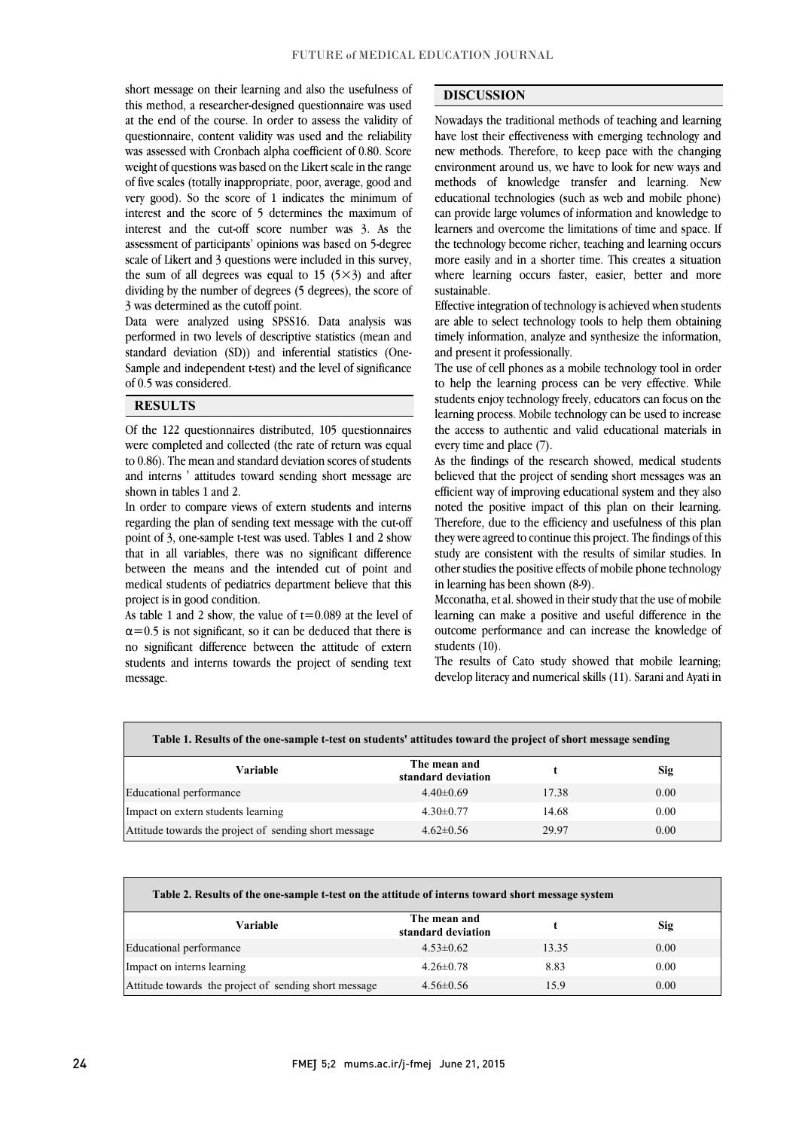short message on their learning and also the usefulness of this method, a researcher-designed questionnaire was used at the end of the course. In order to assess the validity of was assessed with Cronbach alpha coefficient of 0.80. Score weight of questions was based on the Likert scale in the range of five scales (totally inappropriate, poor, average, good and very good). So the score of 1 indicates the minimum of interest and the score of *f* determines the maximum of interest and the cut-off score number was 3. As the assessment of participants' opinions was based on 5-degree scale of Likert and 3 questions were included in this survey, the sum of all degrees was equal to 15  $(5\times3)$  and after dividing by the number of degrees (5 degrees), the score of questionnaire, content validity was used and the reliability interest and the score of 5 determines the maximum of 3 was determined as the cutoff point.

 Data were analyzed using SPSS16. Data analysis was performed in two levels of descriptive statistics (mean and standard deviation (SD)) and inferential statistics (One-Sample and independent t-test) and the level of significance j of 0.5 was considered.

## **RESULTS**

 Of the 122 questionnaires distributed, 105 questionnaires to 0.86). The mean and standard deviation scores of students and interns ' attitudes toward sending short message are were completed and collected (the rate of return was equal shown in tables 1 and 2.

l

 In order to compare views of extern students and interns point of 3, one-sample t-test was used. Tables 1 and 2 show that in all variables, there was no significant difference between the means and the intended cut of point and medical students of pediatrics department believe that this regarding the plan of sending text message with the cut-off project is in good condition.

As table 1 and 2 show, the value of  $t=0.089$  at the level of  $\alpha$ =0.5 is not significant, so it can be deduced that there is no significant difference between the attitude of extern students and interns towards the project of sending text message.

### DISCUSSION

 Nowadays the traditional methods of teaching and learning new nost their encenveness with emerging technology and<br>new methods. Therefore, to keep pace with the changing environment around us, we have to look for new ways and methods of knowledge transfer and learning. New educational technologies (such as web and mobile phone) learners and overcome the limitations of time and space. If the technology become richer, teaching and learning occurs more easily and in a shorter time. This creates a situation where learning occurs faster, easier, better and more have lost their effectiveness with emerging technology and can provide large volumes of information and knowledge to sustainable.

1 l

 Effective integration of technology is achieved when students are able to select technology tools to help them obtaining timely information, analyze and synthesize the information, and present it professionally.

to help the learning process can be very effective. While students enjoy technology freely, educators can focus on the learning process. Mobile technology can be used to increase the access to authentic and valid educational materials in The use of cell phones as a mobile technology tool in order every time and place (7).

As the findings of the research showed, medical students believed that the project of sending short messages was an efficient way of improving educational system and they also noted the positive impact of this plan on their learning. they were agreed to continue this project. The findings of this study are consistent with the results of similar studies. In other studies the positive effects of mobile phone technology Therefore, due to the efficiency and usefulness of this plan in learning has been shown (8-9).

 learning can make a positive and useful difference in the outcome performance and can increase the knowledge of Mcconatha, et al. showed in their study that the use of mobile students (10).

 The results of Cato study showed that mobile learning; develop literacy and numerical skills (11). Sarani and Ayati in

I

Table 1. Results of the one-sample t-test on students' attitudes toward the project of short message sending

ֺ֝

| Variable                                              | The mean and<br>standard deviation |       | Sig  |
|-------------------------------------------------------|------------------------------------|-------|------|
| Educational performance                               | $4.40\pm0.69$                      | 17.38 | 0.00 |
| Impact on extern students learning                    | $4.30\pm0.77$                      | 14.68 | 0.00 |
| Attitude towards the project of sending short message | $4.62 \pm 0.56$                    | 29.97 | 0.00 |
|                                                       |                                    |       |      |

| Table 2. Results of the one-sample t-test on the attitude of interns toward short message system |                                    |       |      |  |
|--------------------------------------------------------------------------------------------------|------------------------------------|-------|------|--|
| Variable                                                                                         | The mean and<br>standard deviation |       | Sig  |  |
| Educational performance                                                                          | $4.53 \pm 0.62$                    | 13.35 | 0.00 |  |
| Impact on interns learning                                                                       | $4.26 \pm 0.78$                    | 8.83  | 0.00 |  |
| Attitude towards the project of sending short message                                            | $4.56\pm0.56$                      | 15.9  | 0.00 |  |